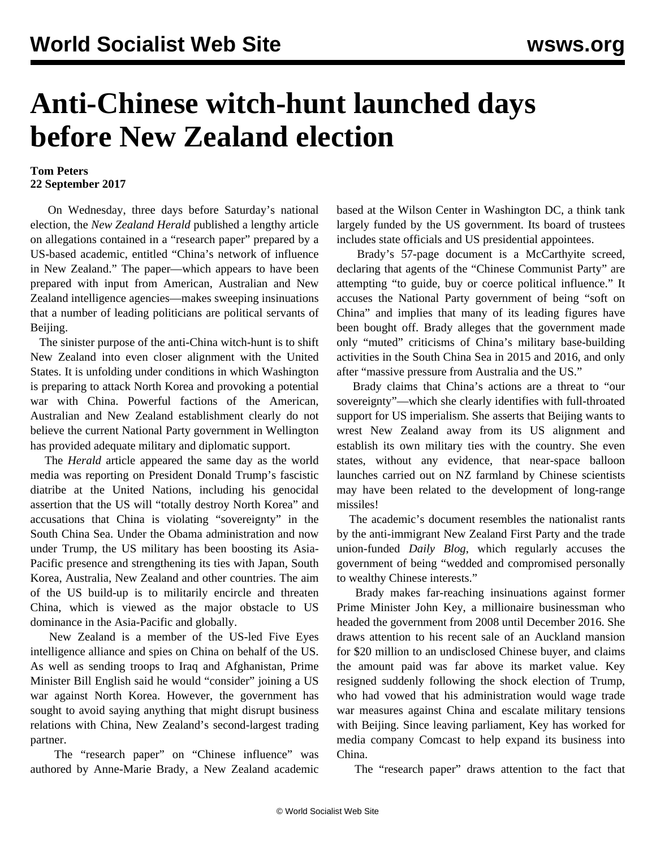## **Anti-Chinese witch-hunt launched days before New Zealand election**

## **Tom Peters 22 September 2017**

 On Wednesday, three days before Saturday's national election, the *New Zealand Herald* published a lengthy article on allegations contained in a "research paper" prepared by a US-based academic, entitled "China's network of influence in New Zealand." The paper—which appears to have been prepared with input from American, Australian and New Zealand intelligence agencies—makes sweeping insinuations that a number of leading politicians are political servants of Beijing.

 The sinister purpose of the anti-China witch-hunt is to shift New Zealand into even closer alignment with the United States. It is unfolding under conditions in which Washington is preparing to attack North Korea and provoking a potential war with China. Powerful factions of the American, Australian and New Zealand establishment clearly do not believe the current National Party government in Wellington has provided adequate military and diplomatic support.

 The *Herald* article appeared the same day as the world media was reporting on President Donald Trump's fascistic diatribe at the United Nations, including his genocidal assertion that the US will "totally destroy North Korea" and accusations that China is violating "sovereignty" in the South China Sea. Under the Obama administration and now under Trump, the US military has been boosting its Asia-Pacific presence and strengthening its ties with Japan, South Korea, Australia, New Zealand and other countries. The aim of the US build-up is to militarily encircle and threaten China, which is viewed as the major obstacle to US dominance in the Asia-Pacific and globally.

 New Zealand is a member of the US-led Five Eyes intelligence alliance and spies on China on behalf of the US. As well as sending troops to Iraq and Afghanistan, Prime Minister Bill English said he would "consider" joining a US war against North Korea. However, the government has sought to avoid saying anything that might disrupt business relations with China, New Zealand's second-largest trading partner.

 The "research paper" on "Chinese influence" was authored by Anne-Marie Brady, a New Zealand academic based at the Wilson Center in Washington DC, a think tank largely funded by the US government. Its board of trustees includes state officials and US presidential appointees.

Brady's 57-page document is a McCarthyite screed, declaring that agents of the "Chinese Communist Party" are attempting "to guide, buy or coerce political influence." It accuses the National Party government of being "soft on China" and implies that many of its leading figures have been bought off. Brady alleges that the government made only "muted" criticisms of China's military base-building activities in the South China Sea in 2015 and 2016, and only after "massive pressure from Australia and the US."

 Brady claims that China's actions are a threat to "our sovereignty"—which she clearly identifies with full-throated support for US imperialism. She asserts that Beijing wants to wrest New Zealand away from its US alignment and establish its own military ties with the country. She even states, without any evidence, that near-space balloon launches carried out on NZ farmland by Chinese scientists may have been related to the development of long-range missiles!

 The academic's document resembles the nationalist rants by the anti-immigrant New Zealand First Party and the trade union-funded *Daily Blog*, which regularly accuses the government of being "wedded and compromised personally to wealthy Chinese interests."

 Brady makes far-reaching insinuations against former Prime Minister John Key, a millionaire businessman who headed the government from 2008 until December 2016. She draws attention to his recent sale of an Auckland mansion for \$20 million to an undisclosed Chinese buyer, and claims the amount paid was far above its market value. Key resigned suddenly following the shock election of Trump, who had vowed that his administration would wage trade war measures against China and escalate military tensions with Beijing. Since leaving parliament, Key has worked for media company Comcast to help expand its business into China.

The "research paper" draws attention to the fact that